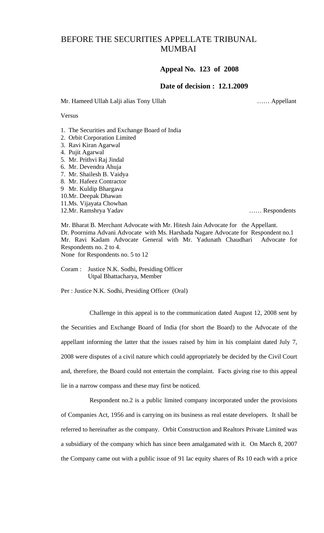## BEFORE THE SECURITIES APPELLATE TRIBUNAL MUMBAI

## **Appeal No. 123 of 2008**

## **Date of decision : 12.1.2009**

Mr. Hameed Ullah Lalji alias Tony Ullah …… Appellant

Versus

1. The Securities and Exchange Board of India

- 2. Orbit Corporation Limited
- 3. Ravi Kiran Agarwal
- 4. Pujit Agarwal
- 5. Mr. Prithvi Raj Jindal
- 6. Mr. Devendra Ahuja
- 7. Mr. Shailesh B. Vaidya
- 8. Mr. Hafeez Contractor
- 9 Mr. Kuldip Bhargava
- 10.Mr. Deepak Dhawan
- 11.Ms. Vijayata Chowhan
- 12.Mr. Ramshrya Yadav …… Respondents

Mr. Bharat B. Merchant Advocate with Mr. Hitesh Jain Advocate for the Appellant. Dr. Poornima Advani Advocate with Ms. Harshada Nagare Advocate for Respondent no.1 Mr. Ravi Kadam Advocate General with Mr. Yadunath Chaudhari Advocate for Respondents no. 2 to 4. None for Respondents no. 5 to 12

Coram : Justice N.K. Sodhi, Presiding Officer Utpal Bhattacharya, Member

Per : Justice N.K. Sodhi, Presiding Officer (Oral)

 Challenge in this appeal is to the communication dated August 12, 2008 sent by the Securities and Exchange Board of India (for short the Board) to the Advocate of the appellant informing the latter that the issues raised by him in his complaint dated July 7, 2008 were disputes of a civil nature which could appropriately be decided by the Civil Court and, therefore, the Board could not entertain the complaint. Facts giving rise to this appeal lie in a narrow compass and these may first be noticed.

 Respondent no.2 is a public limited company incorporated under the provisions of Companies Act, 1956 and is carrying on its business as real estate developers. It shall be referred to hereinafter as the company. Orbit Construction and Realtors Private Limited was a subsidiary of the company which has since been amalgamated with it. On March 8, 2007 the Company came out with a public issue of 91 lac equity shares of Rs 10 each with a price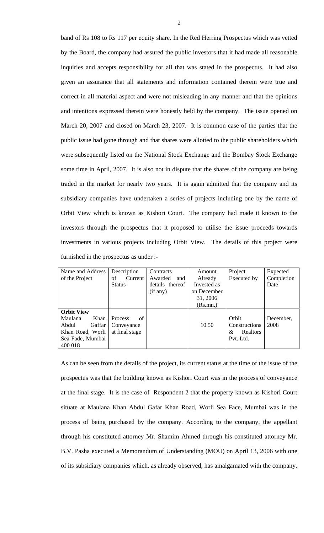band of Rs 108 to Rs 117 per equity share. In the Red Herring Prospectus which was vetted by the Board, the company had assured the public investors that it had made all reasonable inquiries and accepts responsibility for all that was stated in the prospectus. It had also given an assurance that all statements and information contained therein were true and correct in all material aspect and were not misleading in any manner and that the opinions and intentions expressed therein were honestly held by the company. The issue opened on March 20, 2007 and closed on March 23, 2007. It is common case of the parties that the public issue had gone through and that shares were allotted to the public shareholders which were subsequently listed on the National Stock Exchange and the Bombay Stock Exchange some time in April, 2007. It is also not in dispute that the shares of the company are being traded in the market for nearly two years. It is again admitted that the company and its subsidiary companies have undertaken a series of projects including one by the name of Orbit View which is known as Kishori Court. The company had made it known to the investors through the prospectus that it proposed to utilise the issue proceeds towards investments in various projects including Orbit View. The details of this project were furnished in the prospectus as under :-

| Name and Address  | Description    | Contracts       | Amount      | Project              | Expected   |
|-------------------|----------------|-----------------|-------------|----------------------|------------|
| of the Project    | of<br>Current  | Awarded<br>and  | Already     | Executed by          | Completion |
|                   | <b>Status</b>  | details thereof | Invested as |                      | Date       |
|                   |                | (if any)        | on December |                      |            |
|                   |                |                 | 31, 2006    |                      |            |
|                   |                |                 | (Rs.mn.)    |                      |            |
| <b>Orbit View</b> |                |                 |             |                      |            |
| Maulana<br>Khan   | of<br>Process  |                 |             | Orbit                | December,  |
| Gaffar<br>Abdul   | Conveyance     |                 | 10.50       | Constructions        | 2008       |
| Khan Road, Worli  | at final stage |                 |             | <b>Realtors</b><br>& |            |
| Sea Fade, Mumbai  |                |                 |             | Pvt. Ltd.            |            |
| 400 018           |                |                 |             |                      |            |

As can be seen from the details of the project, its current status at the time of the issue of the prospectus was that the building known as Kishori Court was in the process of conveyance at the final stage. It is the case of Respondent 2 that the property known as Kishori Court situate at Maulana Khan Abdul Gafar Khan Road, Worli Sea Face, Mumbai was in the process of being purchased by the company. According to the company, the appellant through his constituted attorney Mr. Shamim Ahmed through his constituted attorney Mr. B.V. Pasha executed a Memorandum of Understanding (MOU) on April 13, 2006 with one of its subsidiary companies which, as already observed, has amalgamated with the company.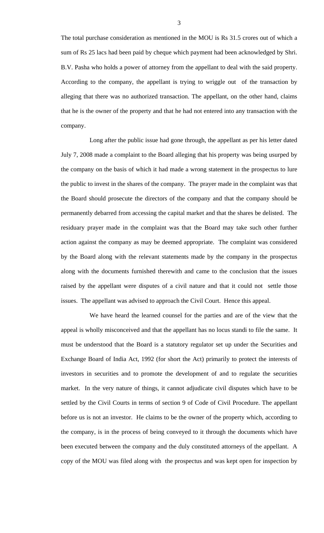The total purchase consideration as mentioned in the MOU is Rs 31.5 crores out of which a sum of Rs 25 lacs had been paid by cheque which payment had been acknowledged by Shri. B.V. Pasha who holds a power of attorney from the appellant to deal with the said property. According to the company, the appellant is trying to wriggle out of the transaction by alleging that there was no authorized transaction. The appellant, on the other hand, claims that he is the owner of the property and that he had not entered into any transaction with the company.

 Long after the public issue had gone through, the appellant as per his letter dated July 7, 2008 made a complaint to the Board alleging that his property was being usurped by the company on the basis of which it had made a wrong statement in the prospectus to lure the public to invest in the shares of the company. The prayer made in the complaint was that the Board should prosecute the directors of the company and that the company should be permanently debarred from accessing the capital market and that the shares be delisted. The residuary prayer made in the complaint was that the Board may take such other further action against the company as may be deemed appropriate. The complaint was considered by the Board along with the relevant statements made by the company in the prospectus along with the documents furnished therewith and came to the conclusion that the issues raised by the appellant were disputes of a civil nature and that it could not settle those issues. The appellant was advised to approach the Civil Court. Hence this appeal.

 We have heard the learned counsel for the parties and are of the view that the appeal is wholly misconceived and that the appellant has no locus standi to file the same. It must be understood that the Board is a statutory regulator set up under the Securities and Exchange Board of India Act, 1992 (for short the Act) primarily to protect the interests of investors in securities and to promote the development of and to regulate the securities market. In the very nature of things, it cannot adjudicate civil disputes which have to be settled by the Civil Courts in terms of section 9 of Code of Civil Procedure. The appellant before us is not an investor. He claims to be the owner of the property which, according to the company, is in the process of being conveyed to it through the documents which have been executed between the company and the duly constituted attorneys of the appellant. A copy of the MOU was filed along with the prospectus and was kept open for inspection by